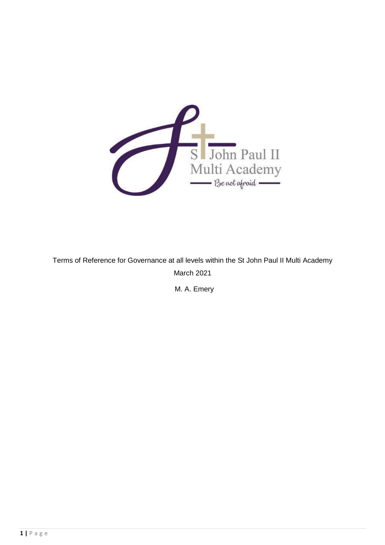

Terms of Reference for Governance at all levels within the St John Paul II Multi Academy March 2021

M. A. Emery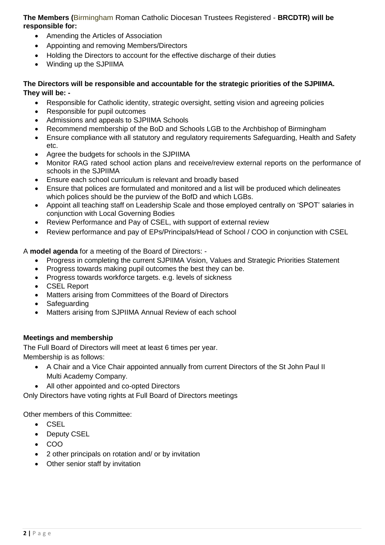**The Members (**Birmingham Roman Catholic Diocesan Trustees Registered - **BRCDTR) will be responsible for:**

- Amending the Articles of Association
- Appointing and removing Members/Directors
- Holding the Directors to account for the effective discharge of their duties
- Winding up the SJPIIMA

### **The Directors will be responsible and accountable for the strategic priorities of the SJPIIMA. They will be: -**

- Responsible for Catholic identity, strategic oversight, setting vision and agreeing policies
- Responsible for pupil outcomes
- Admissions and appeals to SJPIIMA Schools
- Recommend membership of the BoD and Schools LGB to the Archbishop of Birmingham
- Ensure compliance with all statutory and regulatory requirements Safeguarding, Health and Safety etc.
- Agree the budgets for schools in the SJPIIMA
- Monitor RAG rated school action plans and receive/review external reports on the performance of schools in the SJPIIMA
- Ensure each school curriculum is relevant and broadly based
- Ensure that polices are formulated and monitored and a list will be produced which delineates which polices should be the purview of the BofD and which LGBs.
- Appoint all teaching staff on Leadership Scale and those employed centrally on 'SPOT' salaries in conjunction with Local Governing Bodies
- Review Performance and Pay of CSEL, with support of external review
- Review performance and pay of EPs/Principals/Head of School / COO in conjunction with CSEL

A **model agenda** for a meeting of the Board of Directors: -

- Progress in completing the current SJPIIMA Vision, Values and Strategic Priorities Statement
- Progress towards making pupil outcomes the best they can be.
- Progress towards workforce targets. e.g. levels of sickness
- CSEL Report
- Matters arising from Committees of the Board of Directors
- Safeguarding
- Matters arising from SJPIIMA Annual Review of each school

### **Meetings and membership**

The Full Board of Directors will meet at least 6 times per year. Membership is as follows:

- A Chair and a Vice Chair appointed annually from current Directors of the St John Paul II Multi Academy Company.
- All other appointed and co-opted Directors

Only Directors have voting rights at Full Board of Directors meetings

Other members of this Committee:

- $CSEL$
- Deputy CSEL
- COO
- 2 other principals on rotation and/ or by invitation
- Other senior staff by invitation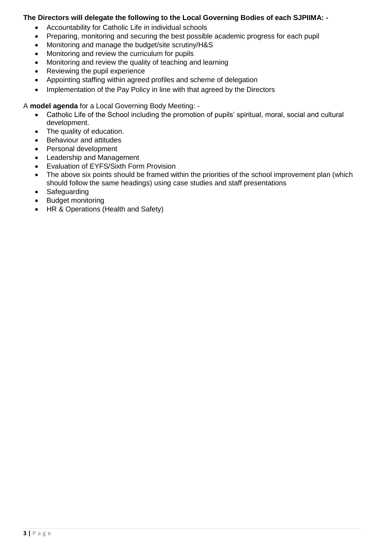### **The Directors will delegate the following to the Local Governing Bodies of each SJPIIMA: -**

- Accountability for Catholic Life in individual schools
- Preparing, monitoring and securing the best possible academic progress for each pupil
- Monitoring and manage the budget/site scrutiny/H&S
- Monitoring and review the curriculum for pupils
- Monitoring and review the quality of teaching and learning
- Reviewing the pupil experience
- Appointing staffing within agreed profiles and scheme of delegation
- Implementation of the Pay Policy in line with that agreed by the Directors

A **model agenda** for a Local Governing Body Meeting: -

- Catholic Life of the School including the promotion of pupils' spiritual, moral, social and cultural development.
- The quality of education.
- Behaviour and attitudes
- Personal development
- Leadership and Management
- Evaluation of EYFS/Sixth Form Provision
- The above six points should be framed within the priorities of the school improvement plan (which should follow the same headings) using case studies and staff presentations
- Safeguarding
- Budget monitoring
- HR & Operations (Health and Safety)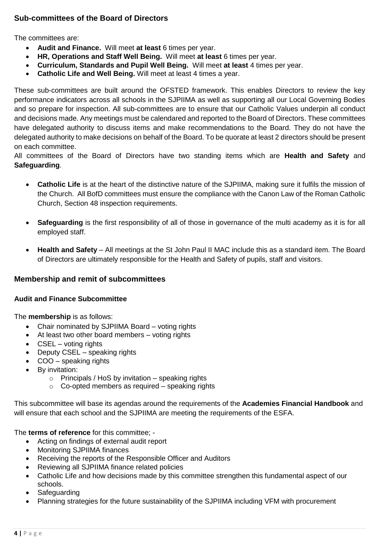# **Sub-committees of the Board of Directors**

The committees are:

- **Audit and Finance.** Will meet **at least** 6 times per year.
- **HR, Operations and Staff Well Being.** Will meet **at least** 6 times per year.
- **Curriculum, Standards and Pupil Well Being.** Will meet **at least** 4 times per year.
- **Catholic Life and Well Being.** Will meet at least 4 times a year.

These sub-committees are built around the OFSTED framework. This enables Directors to review the key performance indicators across all schools in the SJPIIMA as well as supporting all our Local Governing Bodies and so prepare for inspection. All sub-committees are to ensure that our Catholic Values underpin all conduct and decisions made. Any meetings must be calendared and reported to the Board of Directors. These committees have delegated authority to discuss items and make recommendations to the Board. They do not have the delegated authority to make decisions on behalf of the Board. To be quorate at least 2 directors should be present on each committee.

All committees of the Board of Directors have two standing items which are **Health and Safety** and **Safeguarding**.

- **Catholic Life** is at the heart of the distinctive nature of the SJPIIMA, making sure it fulfils the mission of the Church. All BofD committees must ensure the compliance with the Canon Law of the Roman Catholic Church, Section 48 inspection requirements.
- **Safeguarding** is the first responsibility of all of those in governance of the multi academy as it is for all employed staff.
- **Health and Safety** All meetings at the St John Paul II MAC include this as a standard item. The Board of Directors are ultimately responsible for the Health and Safety of pupils, staff and visitors.

### **Membership and remit of subcommittees**

### **Audit and Finance Subcommittee**

The **membership** is as follows:

- Chair nominated by SJPIIMA Board voting rights
- At least two other board members voting rights
- CSEL voting rights
- Deputy CSEL speaking rights
- COO speaking rights
- By invitation:
	- $\circ$  Principals / HoS by invitation speaking rights
	- o Co-opted members as required speaking rights

This subcommittee will base its agendas around the requirements of the **Academies Financial Handbook** and will ensure that each school and the SJPIIMA are meeting the requirements of the ESFA.

The **terms of reference** for this committee; -

- Acting on findings of external audit report
- Monitoring SJPIIMA finances
- Receiving the reports of the Responsible Officer and Auditors
- Reviewing all SJPIIMA finance related policies
- Catholic Life and how decisions made by this committee strengthen this fundamental aspect of our schools.
- Safeguarding
- Planning strategies for the future sustainability of the SJPIIMA including VFM with procurement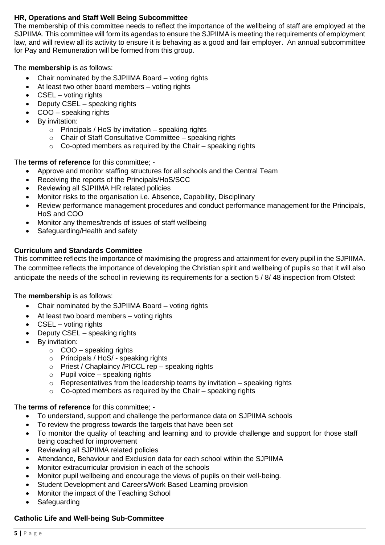### **HR, Operations and Staff Well Being Subcommittee**

The membership of this committee needs to reflect the importance of the wellbeing of staff are employed at the SJPIIMA. This committee will form its agendas to ensure the SJPIIMA is meeting the requirements of employment law, and will review all its activity to ensure it is behaving as a good and fair employer. An annual subcommittee for Pay and Remuneration will be formed from this group.

The **membership** is as follows:

- Chair nominated by the SJPIIMA Board voting rights
- At least two other board members voting rights
- CSEL voting rights
- Deputy CSEL speaking rights
- COO speaking rights
- By invitation:
	- $\circ$  Principals / HoS by invitation speaking rights
	- o Chair of Staff Consultative Committee speaking rights
	- $\circ$  Co-opted members as required by the Chair speaking rights

The **terms of reference** for this committee; -

- Approve and monitor staffing structures for all schools and the Central Team
- Receiving the reports of the Principals/HoS/SCC
- Reviewing all SJPIIMA HR related policies
- Monitor risks to the organisation i.e. Absence, Capability, Disciplinary
- Review performance management procedures and conduct performance management for the Principals, HoS and COO
- Monitor any themes/trends of issues of staff wellbeing
- Safeguarding/Health and safety

### **Curriculum and Standards Committee**

This committee reflects the importance of maximising the progress and attainment for every pupil in the SJPIIMA. The committee reflects the importance of developing the Christian spirit and wellbeing of pupils so that it will also anticipate the needs of the school in reviewing its requirements for a section 5 / 8/ 48 inspection from Ofsted:

#### The **membership** is as follows:

- Chair nominated by the SJPIIMA Board voting rights
- At least two board members voting rights
- CSEL voting rights
- Deputy CSEL speaking rights
- By invitation:
	- $\circ$  COO speaking rights
	- o Principals / HoS/ speaking rights
	- o Priest / Chaplaincy /PICCL rep speaking rights
	- $\circ$  Pupil voice speaking rights
	- $\circ$  Representatives from the leadership teams by invitation speaking rights
	- o Co-opted members as required by the Chair speaking rights

#### The **terms of reference** for this committee; -

- To understand, support and challenge the performance data on SJPIIMA schools
- To review the progress towards the targets that have been set
- To monitor the quality of teaching and learning and to provide challenge and support for those staff being coached for improvement
- Reviewing all SJPIIMA related policies
- Attendance, Behaviour and Exclusion data for each school within the SJPIIMA
- Monitor extracurricular provision in each of the schools
- Monitor pupil wellbeing and encourage the views of pupils on their well-being.
- Student Development and Careers/Work Based Learning provision
- Monitor the impact of the Teaching School
- Safeguarding

#### **Catholic Life and Well-being Sub-Committee**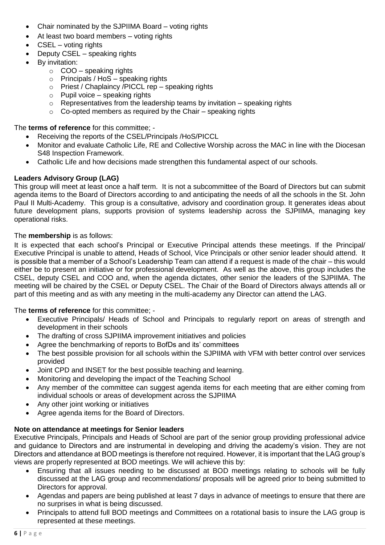- Chair nominated by the SJPIIMA Board voting rights
- At least two board members voting rights
- CSEL voting rights
- Deputy CSEL speaking rights
- By invitation:
	- $\circ$  COO speaking rights
	- $\circ$  Principals / HoS speaking rights
	- o Priest / Chaplaincy /PICCL rep speaking rights
	- $\circ$  Pupil voice speaking rights
	- $\circ$  Representatives from the leadership teams by invitation speaking rights
	- $\circ$  Co-opted members as required by the Chair speaking rights

The **terms of reference** for this committee; -

- Receiving the reports of the CSEL/Principals /HoS/PICCL
- Monitor and evaluate Catholic Life, RE and Collective Worship across the MAC in line with the Diocesan S48 Inspection Framework.
- Catholic Life and how decisions made strengthen this fundamental aspect of our schools.

### **Leaders Advisory Group (LAG)**

This group will meet at least once a half term. It is not a subcommittee of the Board of Directors but can submit agenda items to the Board of Directors according to and anticipating the needs of all the schools in the St. John Paul II Multi-Academy. This group is a consultative, advisory and coordination group. It generates ideas about future development plans, supports provision of systems leadership across the SJPIIMA, managing key operational risks.

### The **membership** is as follows:

It is expected that each school's Principal or Executive Principal attends these meetings. If the Principal/ Executive Principal is unable to attend, Heads of School, Vice Principals or other senior leader should attend. It is possible that a member of a School's Leadership Team can attend if a request is made of the chair – this would either be to present an initiative or for professional development. As well as the above, this group includes the CSEL, deputy CSEL and COO and, when the agenda dictates, other senior the leaders of the SJPIIMA. The meeting will be chaired by the CSEL or Deputy CSEL. The Chair of the Board of Directors always attends all or part of this meeting and as with any meeting in the multi-academy any Director can attend the LAG.

### The **terms of reference** for this committee; -

- Executive Principals/ Heads of School and Principals to regularly report on areas of strength and development in their schools
- The drafting of cross SJPIIMA improvement initiatives and policies
- Agree the benchmarking of reports to BofDs and its' committees
- The best possible provision for all schools within the SJPIIMA with VFM with better control over services provided
- Joint CPD and INSET for the best possible teaching and learning.
- Monitoring and developing the impact of the Teaching School
- Any member of the committee can suggest agenda items for each meeting that are either coming from individual schools or areas of development across the SJPIIMA
- Any other joint working or initiatives
- Agree agenda items for the Board of Directors.

#### **Note on attendance at meetings for Senior leaders**

Executive Principals, Principals and Heads of School are part of the senior group providing professional advice and guidance to Directors and are instrumental in developing and driving the academy's vision. They are not Directors and attendance at BOD meetings is therefore not required. However, it is important that the LAG group's views are properly represented at BOD meetings. We will achieve this by:

- Ensuring that all issues needing to be discussed at BOD meetings relating to schools will be fully discussed at the LAG group and recommendations/ proposals will be agreed prior to being submitted to Directors for approval.
- Agendas and papers are being published at least 7 days in advance of meetings to ensure that there are no surprises in what is being discussed.
- Principals to attend full BOD meetings and Committees on a rotational basis to insure the LAG group is represented at these meetings.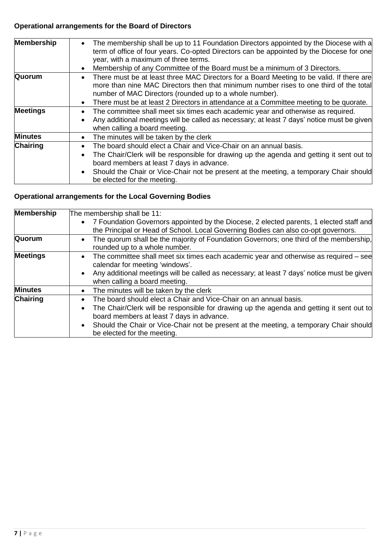# **Operational arrangements for the Board of Directors**

| <b>Membership</b> | The membership shall be up to 11 Foundation Directors appointed by the Diocese with a<br>$\bullet$<br>term of office of four years. Co-opted Directors can be appointed by the Diocese for one<br>year, with a maximum of three terms.                                                                                                                                     |
|-------------------|----------------------------------------------------------------------------------------------------------------------------------------------------------------------------------------------------------------------------------------------------------------------------------------------------------------------------------------------------------------------------|
|                   | Membership of any Committee of the Board must be a minimum of 3 Directors.<br>٠                                                                                                                                                                                                                                                                                            |
| Quorum            | There must be at least three MAC Directors for a Board Meeting to be valid. If there are<br>$\bullet$<br>more than nine MAC Directors then that minimum number rises to one third of the total<br>number of MAC Directors (rounded up to a whole number).                                                                                                                  |
|                   | There must be at least 2 Directors in attendance at a Committee meeting to be quorate.<br>$\bullet$                                                                                                                                                                                                                                                                        |
| <b>Meetings</b>   | The committee shall meet six times each academic year and otherwise as required.<br>$\bullet$<br>Any additional meetings will be called as necessary; at least 7 days' notice must be given<br>$\bullet$<br>when calling a board meeting.                                                                                                                                  |
| <b>Minutes</b>    | The minutes will be taken by the clerk<br>$\bullet$                                                                                                                                                                                                                                                                                                                        |
| <b>Chairing</b>   | The board should elect a Chair and Vice-Chair on an annual basis.<br>$\bullet$<br>The Chair/Clerk will be responsible for drawing up the agenda and getting it sent out to<br>$\bullet$<br>board members at least 7 days in advance.<br>Should the Chair or Vice-Chair not be present at the meeting, a temporary Chair should<br>$\bullet$<br>be elected for the meeting. |

# **Operational arrangements for the Local Governing Bodies**

| <b>Membership</b> | The membership shall be 11:                                                                                                                                                                                                                                                                                                                                                |
|-------------------|----------------------------------------------------------------------------------------------------------------------------------------------------------------------------------------------------------------------------------------------------------------------------------------------------------------------------------------------------------------------------|
|                   | • 7 Foundation Governors appointed by the Diocese, 2 elected parents, 1 elected staff and<br>the Principal or Head of School. Local Governing Bodies can also co-opt governors.                                                                                                                                                                                            |
| Quorum            | The quorum shall be the majority of Foundation Governors; one third of the membership,<br>$\bullet$<br>rounded up to a whole number.                                                                                                                                                                                                                                       |
| <b>Meetings</b>   | The committee shall meet six times each academic year and otherwise as required $-$ see<br>$\bullet$<br>calendar for meeting 'windows'.<br>Any additional meetings will be called as necessary; at least 7 days' notice must be given<br>$\bullet$<br>when calling a board meeting.                                                                                        |
| <b>Minutes</b>    | The minutes will be taken by the clerk<br>$\bullet$                                                                                                                                                                                                                                                                                                                        |
| <b>Chairing</b>   | The board should elect a Chair and Vice-Chair on an annual basis.<br>$\bullet$<br>The Chair/Clerk will be responsible for drawing up the agenda and getting it sent out to<br>$\bullet$<br>board members at least 7 days in advance.<br>Should the Chair or Vice-Chair not be present at the meeting, a temporary Chair should<br>$\bullet$<br>be elected for the meeting. |